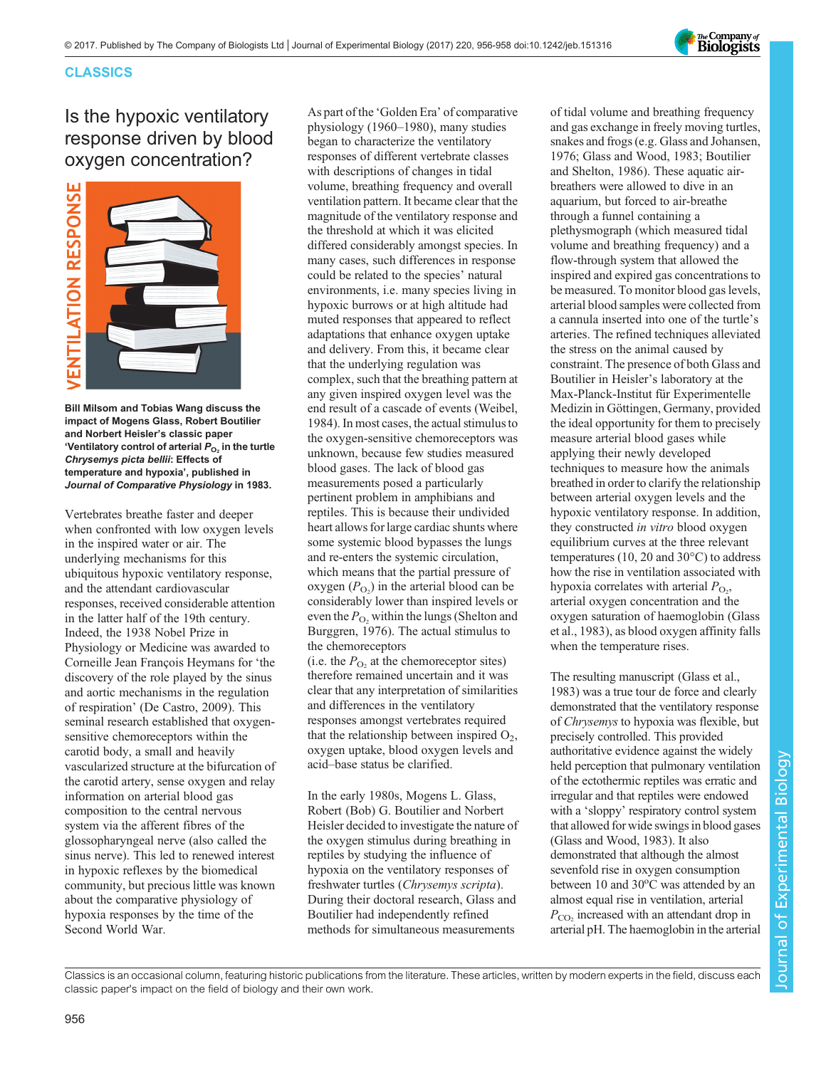

## **CLASSICS**

## Is the hypoxic ventilatory response driven by blood oxygen concentration?



Bill Milsom and Tobias Wang discuss the impact of Mogens Glass, Robert Boutilier and Norbert Heisler's classic paper 'Ventilatory control of arterial  $P_{\text{O}_2}$  in the turtle Chrysemys picta bellii: Effects of temperature and hypoxia', published in Journal of Comparative Physiology in 1983.

Vertebrates breathe faster and deeper when confronted with low oxygen levels in the inspired water or air. The underlying mechanisms for this ubiquitous hypoxic ventilatory response, and the attendant cardiovascular responses, received considerable attention in the latter half of the 19th century. Indeed, the 1938 Nobel Prize in Physiology or Medicine was awarded to Corneille Jean François Heymans for 'the discovery of the role played by the sinus and aortic mechanisms in the regulation of respiration' ([De Castro, 2009\)](#page-1-0). This seminal research established that oxygensensitive chemoreceptors within the carotid body, a small and heavily vascularized structure at the bifurcation of the carotid artery, sense oxygen and relay information on arterial blood gas composition to the central nervous system via the afferent fibres of the glossopharyngeal nerve (also called the sinus nerve). This led to renewed interest in hypoxic reflexes by the biomedical community, but precious little was known about the comparative physiology of hypoxia responses by the time of the Second World War.

As part of the 'Golden Era' of comparative physiology (1960–1980), many studies began to characterize the ventilatory responses of different vertebrate classes with descriptions of changes in tidal volume, breathing frequency and overall ventilation pattern. It became clear that the magnitude of the ventilatory response and the threshold at which it was elicited differed considerably amongst species. In many cases, such differences in response could be related to the species' natural environments, i.e. many species living in hypoxic burrows or at high altitude had muted responses that appeared to reflect adaptations that enhance oxygen uptake and delivery. From this, it became clear that the underlying regulation was complex, such that the breathing pattern at any given inspired oxygen level was the end result of a cascade of events ([Weibel,](#page-2-0) [1984](#page-2-0)). In most cases, the actual stimulus to the oxygen-sensitive chemoreceptors was unknown, because few studies measured blood gases. The lack of blood gas measurements posed a particularly pertinent problem in amphibians and reptiles. This is because their undivided heart allows for large cardiac shunts where some systemic blood bypasses the lungs and re-enters the systemic circulation, which means that the partial pressure of oxygen  $(P_{\text{O}_2})$  in the arterial blood can be considerably lower than inspired levels or even the  $P_{\text{O}_2}$  within the lungs ([Shelton and](#page-2-0) [Burggren, 1976](#page-2-0)). The actual stimulus to the chemoreceptors (i.e. the  $P_{\text{O}_2}$  at the chemoreceptor sites)

therefore remained uncertain and it was clear that any interpretation of similarities and differences in the ventilatory responses amongst vertebrates required that the relationship between inspired  $O_2$ , oxygen uptake, blood oxygen levels and acid–base status be clarified.

In the early 1980s, Mogens L. Glass, Robert (Bob) G. Boutilier and Norbert Heisler decided to investigate the nature of the oxygen stimulus during breathing in reptiles by studying the influence of hypoxia on the ventilatory responses of freshwater turtles (Chrysemys scripta). During their doctoral research, Glass and Boutilier had independently refined methods for simultaneous measurements

of tidal volume and breathing frequency and gas exchange in freely moving turtles, snakes and frogs (e.g. [Glass and Johansen,](#page-2-0) [1976](#page-2-0); [Glass and Wood, 1983](#page-2-0); [Boutilier](#page-1-0) [and Shelton, 1986\)](#page-1-0). These aquatic airbreathers were allowed to dive in an aquarium, but forced to air-breathe through a funnel containing a plethysmograph (which measured tidal volume and breathing frequency) and a flow-through system that allowed the inspired and expired gas concentrations to be measured. To monitor blood gas levels, arterial blood samples were collected from a cannula inserted into one of the turtle's arteries. The refined techniques alleviated the stress on the animal caused by constraint. The presence of both Glass and Boutilier in Heisler's laboratory at the Max-Planck-Institut für Experimentelle Medizin in Göttingen, Germany, provided the ideal opportunity for them to precisely measure arterial blood gases while applying their newly developed techniques to measure how the animals breathed in order to clarify the relationship between arterial oxygen levels and the hypoxic ventilatory response. In addition, they constructed *in vitro* blood oxygen equilibrium curves at the three relevant temperatures (10, 20 and 30°C) to address how the rise in ventilation associated with hypoxia correlates with arterial  $P_{\text{O}_2}$ , arterial oxygen concentration and the oxygen saturation of haemoglobin ([Glass](#page-2-0) [et al., 1983\)](#page-2-0), as blood oxygen affinity falls when the temperature rises.

The resulting manuscript ([Glass et al.,](#page-2-0) [1983\)](#page-2-0) was a true tour de force and clearly demonstrated that the ventilatory response of Chrysemys to hypoxia was flexible, but precisely controlled. This provided authoritative evidence against the widely held perception that pulmonary ventilation of the ectothermic reptiles was erratic and irregular and that reptiles were endowed with a 'sloppy' respiratory control system that allowed for wide swings in blood gases [\(Glass and Wood, 1983](#page-2-0)). It also demonstrated that although the almost sevenfold rise in oxygen consumption between 10 and 30°C was attended by an almost equal rise in ventilation, arterial  $P_{\text{CO}_2}$  increased with an attendant drop in arterial pH. The haemoglobin in the arterial

Classics is an occasional column, featuring historic publications from the literature. These articles, written by modern experts in the field, discuss each classic paper's impact on the field of biology and their own work.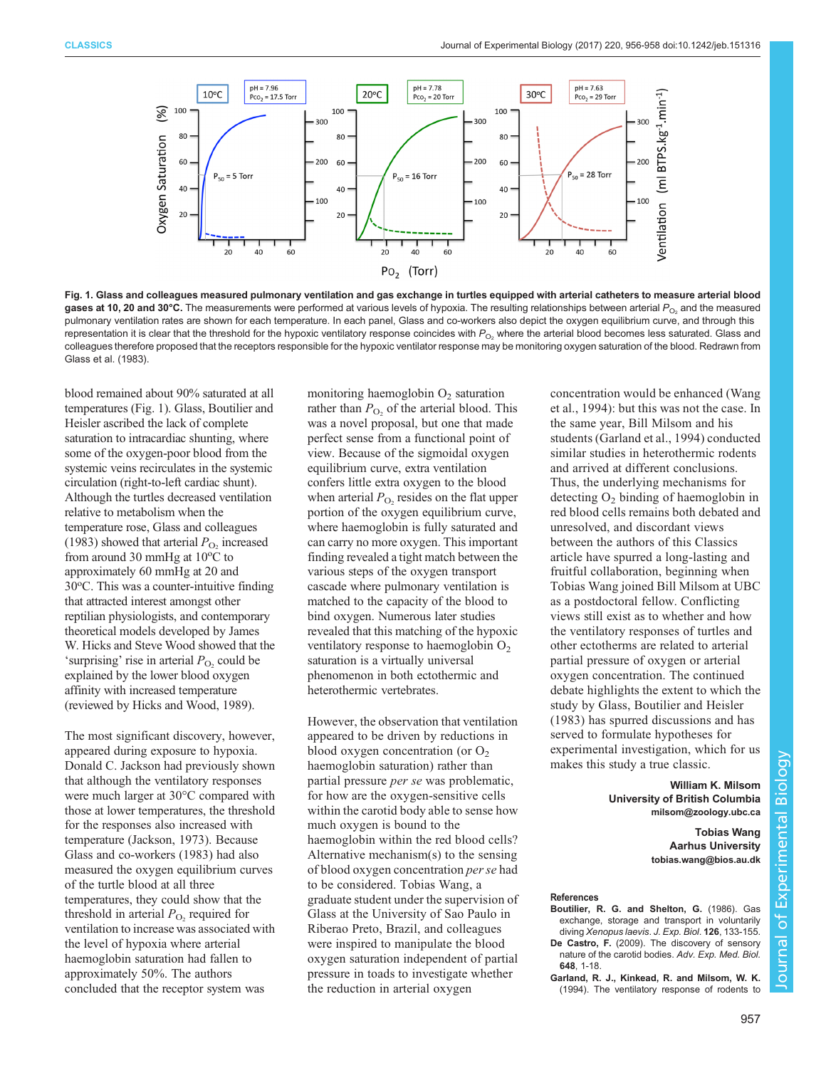<span id="page-1-0"></span>

Fig. 1. Glass and colleagues measured pulmonary ventilation and gas exchange in turtles equipped with arterial catheters to measure arterial blood gases at 10, 20 and 30°C. The measurements were performed at various levels of hypoxia. The resulting relationships between arterial  $P_{O_2}$  and the measured pulmonary ventilation rates are shown for each temperature. In each panel, Glass and co-workers also depict the oxygen equilibrium curve, and through this representation it is clear that the threshold for the hypoxic ventilatory response coincides with  $P_{O_2}$  where the arterial blood becomes less saturated. Glass and colleagues therefore proposed that the receptors responsible for the hypoxic ventilator response may be monitoring oxygen saturation of the blood. Redrawn from [Glass et al. \(1983\).](#page-2-0)

blood remained about 90% saturated at all temperatures (Fig. 1). Glass, Boutilier and Heisler ascribed the lack of complete saturation to intracardiac shunting, where some of the oxygen-poor blood from the systemic veins recirculates in the systemic circulation (right-to-left cardiac shunt). Although the turtles decreased ventilation relative to metabolism when the temperature rose, [Glass and colleagues](#page-2-0) [\(1983\)](#page-2-0) showed that arterial  $P_{\text{O}_2}$  increased from around 30 mmHg at  $10^{\circ}$ C to approximately 60 mmHg at 20 and 30°C. This was a counter-intuitive finding that attracted interest amongst other reptilian physiologists, and contemporary theoretical models developed by James W. Hicks and Steve Wood showed that the 'surprising' rise in arterial  $P_{\text{O}_2}$  could be explained by the lower blood oxygen affinity with increased temperature (reviewed by [Hicks and Wood, 1989\)](#page-2-0).

The most significant discovery, however, appeared during exposure to hypoxia. Donald C. Jackson had previously shown that although the ventilatory responses were much larger at 30°C compared with those at lower temperatures, the threshold for the responses also increased with temperature ([Jackson, 1973\)](#page-2-0). Because [Glass and co-workers \(1983\)](#page-2-0) had also measured the oxygen equilibrium curves of the turtle blood at all three temperatures, they could show that the threshold in arterial  $P_{\text{O}_2}$  required for ventilation to increase was associated with the level of hypoxia where arterial haemoglobin saturation had fallen to approximately 50%. The authors concluded that the receptor system was

monitoring haemoglobin  $O<sub>2</sub>$  saturation rather than  $P_{\text{O}_2}$  of the arterial blood. This was a novel proposal, but one that made perfect sense from a functional point of view. Because of the sigmoidal oxygen equilibrium curve, extra ventilation confers little extra oxygen to the blood when arterial  $P_{\text{O}_2}$  resides on the flat upper portion of the oxygen equilibrium curve, where haemoglobin is fully saturated and can carry no more oxygen. This important finding revealed a tight match between the various steps of the oxygen transport cascade where pulmonary ventilation is matched to the capacity of the blood to bind oxygen. Numerous later studies revealed that this matching of the hypoxic ventilatory response to haemoglobin  $O_2$ saturation is a virtually universal phenomenon in both ectothermic and heterothermic vertebrates.

However, the observation that ventilation appeared to be driven by reductions in blood oxygen concentration (or  $O<sub>2</sub>$ ) haemoglobin saturation) rather than partial pressure per se was problematic, for how are the oxygen-sensitive cells within the carotid body able to sense how much oxygen is bound to the haemoglobin within the red blood cells? Alternative mechanism(s) to the sensing of blood oxygen concentration per se had to be considered. Tobias Wang, a graduate student under the supervision of Glass at the University of Sao Paulo in Riberao Preto, Brazil, and colleagues were inspired to manipulate the blood oxygen saturation independent of partial pressure in toads to investigate whether the reduction in arterial oxygen

concentration would be enhanced ([Wang](#page-2-0) [et al., 1994\):](#page-2-0) but this was not the case. In the same year, Bill Milsom and his students (Garland et al., 1994) conducted similar studies in heterothermic rodents and arrived at different conclusions. Thus, the underlying mechanisms for detecting  $O_2$  binding of haemoglobin in red blood cells remains both debated and unresolved, and discordant views between the authors of this Classics article have spurred a long-lasting and fruitful collaboration, beginning when Tobias Wang joined Bill Milsom at UBC as a postdoctoral fellow. Conflicting views still exist as to whether and how the ventilatory responses of turtles and other ectotherms are related to arterial partial pressure of oxygen or arterial oxygen concentration. The continued debate highlights the extent to which the study by [Glass, Boutilier and Heisler](#page-2-0) [\(1983\)](#page-2-0) has spurred discussions and has served to formulate hypotheses for experimental investigation, which for us makes this study a true classic.

> William K. Milsom University of British Columbia milsom@zoology.ubc.ca

> > Tobias Wang Aarhus University tobias.wang@bios.au.dk

## References

- Boutilier, R. G. and Shelton, G. (1986). Gas exchange, storage and transport in voluntarily diving Xenopus laevis. J. Exp. Biol. 126, 133-155. De Castro, F. [\(2009\). The discovery of sensory](http://dx.doi.org/10.1007/978-90-481-2259-2_1) [nature of the carotid bodies.](http://dx.doi.org/10.1007/978-90-481-2259-2_1) Adv. Exp. Med. Biol.
- 648[, 1-18.](http://dx.doi.org/10.1007/978-90-481-2259-2_1) [Garland, R. J., Kinkead, R. and Milsom, W. K.](http://dx.doi.org/10.1016/0034-5687(94)90127-9) [\(1994\). The ventilatory response of rodents to](http://dx.doi.org/10.1016/0034-5687(94)90127-9)